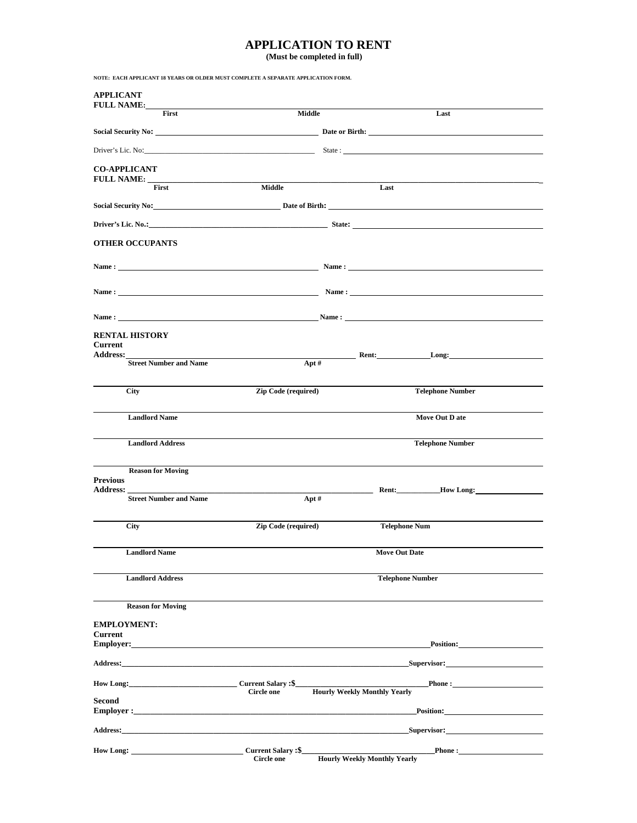## **APPLICATION TO RENT**

 **(Must be completed in full)**

| NOTE: EACH APPLICANT 18 YEARS OR OLDER MUST COMPLETE A SEPARATE APPLICATION FORM.                                                                                                                                              |                            |                                                                                                                                                                                                                                                                                        |  |  |
|--------------------------------------------------------------------------------------------------------------------------------------------------------------------------------------------------------------------------------|----------------------------|----------------------------------------------------------------------------------------------------------------------------------------------------------------------------------------------------------------------------------------------------------------------------------------|--|--|
| <b>APPLICANT</b><br><b>FULL NAME:__</b>                                                                                                                                                                                        |                            |                                                                                                                                                                                                                                                                                        |  |  |
| <b>First</b>                                                                                                                                                                                                                   | Middle                     | Last                                                                                                                                                                                                                                                                                   |  |  |
|                                                                                                                                                                                                                                |                            | Social Security No: Date or Birth: Date or Birth:                                                                                                                                                                                                                                      |  |  |
|                                                                                                                                                                                                                                |                            |                                                                                                                                                                                                                                                                                        |  |  |
| <b>CO-APPLICANT</b>                                                                                                                                                                                                            |                            |                                                                                                                                                                                                                                                                                        |  |  |
| <b>FULL NAME:</b> _________<br>First                                                                                                                                                                                           | Middle                     | Last                                                                                                                                                                                                                                                                                   |  |  |
|                                                                                                                                                                                                                                |                            | Social Security No: <u>Date of Birth:</u> Date of Birth:                                                                                                                                                                                                                               |  |  |
|                                                                                                                                                                                                                                |                            |                                                                                                                                                                                                                                                                                        |  |  |
| <b>OTHER OCCUPANTS</b>                                                                                                                                                                                                         |                            |                                                                                                                                                                                                                                                                                        |  |  |
|                                                                                                                                                                                                                                |                            |                                                                                                                                                                                                                                                                                        |  |  |
|                                                                                                                                                                                                                                |                            |                                                                                                                                                                                                                                                                                        |  |  |
|                                                                                                                                                                                                                                |                            | Name: $\frac{1}{2}$ Name: $\frac{1}{2}$ Name: $\frac{1}{2}$ Name: $\frac{1}{2}$ Name: $\frac{1}{2}$ Name: $\frac{1}{2}$ Name: $\frac{1}{2}$ Name: $\frac{1}{2}$ Name: $\frac{1}{2}$ Name: $\frac{1}{2}$ Name: $\frac{1}{2}$ Name: $\frac{1}{2}$ Name: $\frac{1}{2}$ Name: $\frac{1}{2$ |  |  |
| Name : $\frac{1}{2}$ Name : $\frac{1}{2}$ Name :                                                                                                                                                                               |                            |                                                                                                                                                                                                                                                                                        |  |  |
| <b>RENTAL HISTORY</b>                                                                                                                                                                                                          |                            |                                                                                                                                                                                                                                                                                        |  |  |
| Current<br><b>Address:</b>                                                                                                                                                                                                     |                            | <b>Example 2018</b> Rent: Long:                                                                                                                                                                                                                                                        |  |  |
| <b>Street Number and Name</b>                                                                                                                                                                                                  | Apt#                       |                                                                                                                                                                                                                                                                                        |  |  |
| <b>City</b>                                                                                                                                                                                                                    | <b>Zip Code (required)</b> | <b>Telephone Number</b>                                                                                                                                                                                                                                                                |  |  |
| <b>Landlord Name</b>                                                                                                                                                                                                           |                            | Move Out D ate                                                                                                                                                                                                                                                                         |  |  |
| <b>Landlord Address</b>                                                                                                                                                                                                        |                            | <b>Telephone Number</b>                                                                                                                                                                                                                                                                |  |  |
| <b>Reason for Moving</b>                                                                                                                                                                                                       |                            |                                                                                                                                                                                                                                                                                        |  |  |
| <b>Previous</b><br><b>Address:</b>                                                                                                                                                                                             |                            | Rent: How Long:                                                                                                                                                                                                                                                                        |  |  |
| <b>Street Number and Name</b>                                                                                                                                                                                                  | $Apt \#$                   | and the company of the                                                                                                                                                                                                                                                                 |  |  |
| <b>City</b>                                                                                                                                                                                                                    | <b>Zip Code (required)</b> | <b>Telephone Num</b>                                                                                                                                                                                                                                                                   |  |  |
| <b>Landlord Name</b>                                                                                                                                                                                                           |                            | <b>Move Out Date</b>                                                                                                                                                                                                                                                                   |  |  |
| <b>Landlord Address</b>                                                                                                                                                                                                        |                            | <b>Telephone Number</b>                                                                                                                                                                                                                                                                |  |  |
|                                                                                                                                                                                                                                |                            |                                                                                                                                                                                                                                                                                        |  |  |
| <b>Reason for Moving</b>                                                                                                                                                                                                       |                            |                                                                                                                                                                                                                                                                                        |  |  |
| <b>EMPLOYMENT:</b>                                                                                                                                                                                                             |                            |                                                                                                                                                                                                                                                                                        |  |  |
| <b>Current</b><br>Employer:                                                                                                                                                                                                    |                            | Position:                                                                                                                                                                                                                                                                              |  |  |
|                                                                                                                                                                                                                                |                            | Address: Supervisor: Supervisor: Supervisor: Supervisor: Supervisor: Supervisor: Supervisor: Supervisor: Supervisor: Supervisor: Supervisor: Supervisor: Supervisor: Supervisor: Supervisor: Supervisor: Supervisor: Superviso                                                         |  |  |
| How Long: Current Salary :\$_                                                                                                                                                                                                  |                            | <b>Phone:</b>                                                                                                                                                                                                                                                                          |  |  |
| <b>Second</b>                                                                                                                                                                                                                  | <b>Circle one</b>          | <b>Hourly Weekly Monthly Yearly</b>                                                                                                                                                                                                                                                    |  |  |
|                                                                                                                                                                                                                                |                            | Position: Position:                                                                                                                                                                                                                                                                    |  |  |
| Address: the contract of the contract of the contract of the contract of the contract of the contract of the contract of the contract of the contract of the contract of the contract of the contract of the contract of the c |                            | Supervisor:_____                                                                                                                                                                                                                                                                       |  |  |
| How Long: Current Salary :\$                                                                                                                                                                                                   | <b>Circle one</b>          | <b>Phone:</b><br><b>Hourly Weekly Monthly Yearly</b>                                                                                                                                                                                                                                   |  |  |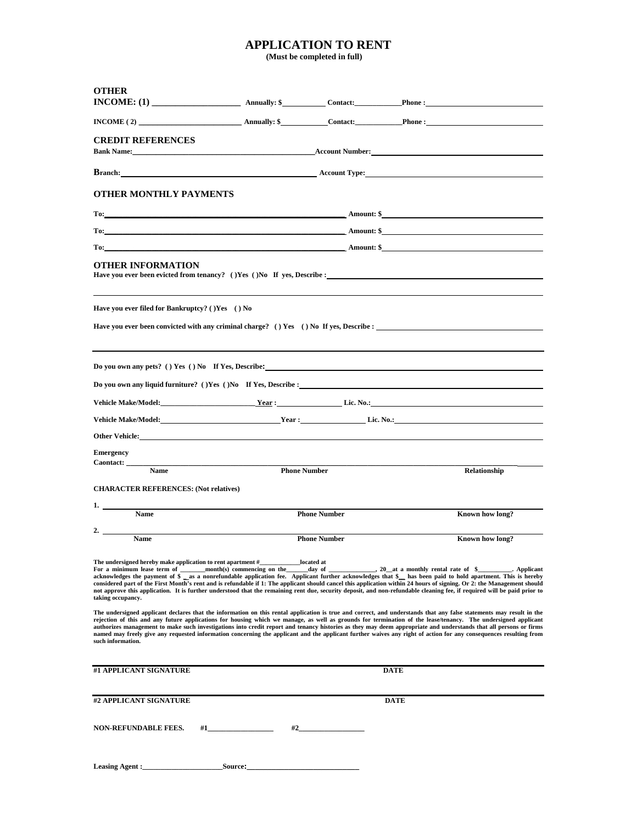## **APPLICATION TO RENT**

 **(Must be completed in full)**

| <b>OTHER</b><br>$INCOME: (1)$ Annually: \$ Contact: Phone :                                                                                                                                                                                                                                                                                                                                                                                                                                                                                                                                                                                                                                         |                  |                        |             |                 |  |  |  |
|-----------------------------------------------------------------------------------------------------------------------------------------------------------------------------------------------------------------------------------------------------------------------------------------------------------------------------------------------------------------------------------------------------------------------------------------------------------------------------------------------------------------------------------------------------------------------------------------------------------------------------------------------------------------------------------------------------|------------------|------------------------|-------------|-----------------|--|--|--|
| $INCOME(2)$ Annually: \$ Contact: Phone :                                                                                                                                                                                                                                                                                                                                                                                                                                                                                                                                                                                                                                                           |                  |                        |             |                 |  |  |  |
| <b>CREDIT REFERENCES</b>                                                                                                                                                                                                                                                                                                                                                                                                                                                                                                                                                                                                                                                                            |                  |                        |             |                 |  |  |  |
| <b>Branch:</b> Representation of the contract of the contract of the contract of the contract of the contract of the contract of the contract of the contract of the contract of the contract of the contract of the contract of th                                                                                                                                                                                                                                                                                                                                                                                                                                                                 |                  |                        |             |                 |  |  |  |
| <b>OTHER MONTHLY PAYMENTS</b>                                                                                                                                                                                                                                                                                                                                                                                                                                                                                                                                                                                                                                                                       |                  |                        |             |                 |  |  |  |
| $To:$ Amount: \$                                                                                                                                                                                                                                                                                                                                                                                                                                                                                                                                                                                                                                                                                    |                  |                        |             |                 |  |  |  |
|                                                                                                                                                                                                                                                                                                                                                                                                                                                                                                                                                                                                                                                                                                     | $To:$ Amount: \$ |                        |             |                 |  |  |  |
|                                                                                                                                                                                                                                                                                                                                                                                                                                                                                                                                                                                                                                                                                                     | $To:$ Amount: \$ |                        |             |                 |  |  |  |
| OTHER INFORMATION<br>Have you ever been evicted from tenancy? () Yes () No If yes, Describe :                                                                                                                                                                                                                                                                                                                                                                                                                                                                                                                                                                                                       |                  |                        |             |                 |  |  |  |
| Have you ever filed for Bankruptcy? ()Yes () No                                                                                                                                                                                                                                                                                                                                                                                                                                                                                                                                                                                                                                                     |                  |                        |             |                 |  |  |  |
| Have you ever been convicted with any criminal charge? () Yes () No If yes, Describe :                                                                                                                                                                                                                                                                                                                                                                                                                                                                                                                                                                                                              |                  |                        |             |                 |  |  |  |
|                                                                                                                                                                                                                                                                                                                                                                                                                                                                                                                                                                                                                                                                                                     |                  |                        |             |                 |  |  |  |
| Do you own any pets? () Yes () No If Yes, Describe: $\frac{1}{\sqrt{1-\frac{1}{n}}}\left(1-\frac{1}{n}\right)$                                                                                                                                                                                                                                                                                                                                                                                                                                                                                                                                                                                      |                  |                        |             |                 |  |  |  |
|                                                                                                                                                                                                                                                                                                                                                                                                                                                                                                                                                                                                                                                                                                     |                  |                        |             |                 |  |  |  |
|                                                                                                                                                                                                                                                                                                                                                                                                                                                                                                                                                                                                                                                                                                     |                  |                        |             |                 |  |  |  |
|                                                                                                                                                                                                                                                                                                                                                                                                                                                                                                                                                                                                                                                                                                     |                  |                        |             |                 |  |  |  |
| Other Vehicle: The contract of the contract of the contract of the contract of the contract of the contract of the contract of the contract of the contract of the contract of the contract of the contract of the contract of                                                                                                                                                                                                                                                                                                                                                                                                                                                                      |                  |                        |             |                 |  |  |  |
| <b>Emergency</b>                                                                                                                                                                                                                                                                                                                                                                                                                                                                                                                                                                                                                                                                                    |                  |                        |             |                 |  |  |  |
| Caontact:<br><b>Name</b>                                                                                                                                                                                                                                                                                                                                                                                                                                                                                                                                                                                                                                                                            |                  | <b>Phone Number</b>    |             | Relationship    |  |  |  |
| <b>CHARACTER REFERENCES: (Not relatives)</b>                                                                                                                                                                                                                                                                                                                                                                                                                                                                                                                                                                                                                                                        |                  |                        |             |                 |  |  |  |
|                                                                                                                                                                                                                                                                                                                                                                                                                                                                                                                                                                                                                                                                                                     |                  |                        |             |                 |  |  |  |
| Name                                                                                                                                                                                                                                                                                                                                                                                                                                                                                                                                                                                                                                                                                                |                  | <b>Phone Number</b>    |             | Known how long? |  |  |  |
| 2.<br><b>Name</b>                                                                                                                                                                                                                                                                                                                                                                                                                                                                                                                                                                                                                                                                                   |                  | <b>Phone Number</b>    |             | Known how long? |  |  |  |
| The undersigned hereby make application to rent apartment #_<br>For a minimum lease term of month(s) commencing on the<br>acknowledges the payment of \$ as a nonrefundable application fee. Applicant further acknowledges that \$ has been paid to hold apartment. This is hereby<br>considered part of the First Month's rent and is refundable if 1: The applicant should cancel this application within 24 hours of signing. Or 2: the Management should<br>not approve this application. It is further understood that the remaining rent due, security deposit, and non-refundable cleaning fee, if required will be paid prior to<br>taking occupancy.                                      |                  | _located at<br>_day of |             |                 |  |  |  |
| The undersigned applicant declares that the information on this rental application is true and correct, and understands that any false statements may result in the<br>rejection of this and any future applications for housing which we manage, as well as grounds for termination of the lease/tenancy. The undersigned applicant<br>authorizes management to make such investigations into credit report and tenancy histories as they may deem appropriate and understands that all persons or firms<br>named may freely give any requested information concerning the applicant and the applicant further waives any right of action for any consequences resulting from<br>such information. |                  |                        |             |                 |  |  |  |
| #1 APPLICANT SIGNATURE                                                                                                                                                                                                                                                                                                                                                                                                                                                                                                                                                                                                                                                                              |                  |                        | DATE        |                 |  |  |  |
|                                                                                                                                                                                                                                                                                                                                                                                                                                                                                                                                                                                                                                                                                                     |                  |                        |             |                 |  |  |  |
| #2 APPLICANT SIGNATURE                                                                                                                                                                                                                                                                                                                                                                                                                                                                                                                                                                                                                                                                              |                  |                        | <b>DATE</b> |                 |  |  |  |
| <b>NON-REFUNDABLE FEES.</b><br>#1                                                                                                                                                                                                                                                                                                                                                                                                                                                                                                                                                                                                                                                                   | #2               |                        |             |                 |  |  |  |
| Leasing Agent :                                                                                                                                                                                                                                                                                                                                                                                                                                                                                                                                                                                                                                                                                     | Source:          |                        |             |                 |  |  |  |